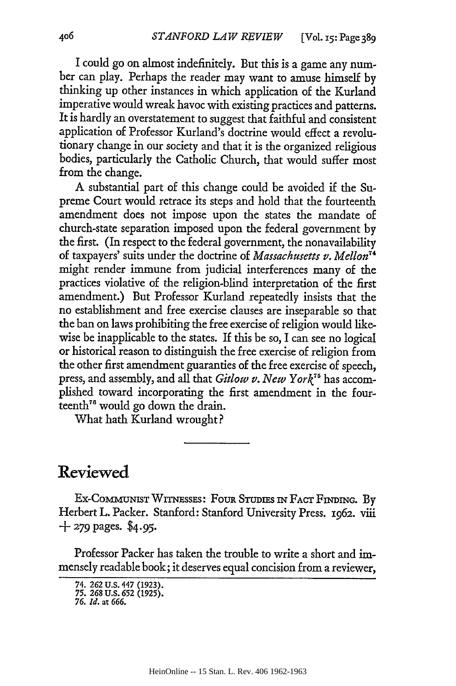I could go on almost indefinitely. But this is a game any number can play. Perhaps the reader may want to amuse himself by thinking up other instances in which application of the Kurland imperative would wreak havoc with existing practices and patterns. It is hardly an overstatement to suggest that faithful and consistent application of Professor Kurland's doctrine would effect a revolutionary change in our society and that it is the organized religious bodies, particularly the Catholic Church, that would suffer most from the change.

A substantial part of this change could be avoided if the Supreme Court would retrace its steps and hold that the fourteenth amendment does not impose upon the states the mandate of church-state separation imposed upon the federal government by the first. (In respect to the federal government, the nonavailability of taxpayers' suits under the doctrine of *Massachusetts v. Mellon7* might render immune from judicial interferences many of the practices violative of the religion-blind interpretation of the first amendment.) But Professor Kurland repeatedly insists that the no establishment and free exercise clauses are inseparable so that the ban on laws prohibiting the free exercise of religion would likewise be inapplicable to the states. If this be so, I can see no logical or historical reason to distinguish the free exercise of religion from the other first amendment guaranties of the free exercise of speech, press, and assembly, and all that *Gitlow v. New York"5* has accomplished toward incorporating the first amendment in the fourteenth"6 would go down the drain.

What hath Kurland wrought?

## **Reviewed**

**EX-COMMUNIST** WITNEssEs: FouR STuru s IN **FACT FNDING.** By Herbert L. Packer. Stanford: Stanford University Press. 1962. viii **+ 279** pages. *\$4.95.*

Professor Packer has taken the trouble to write a short and immensely readable book; it deserves equal concision from a reviewer,

<sup>74.</sup> **262 U.S. 447 (1923).** 75. **268 U.S. 652 (1925).**

*<sup>76.</sup> Id.* at *666.*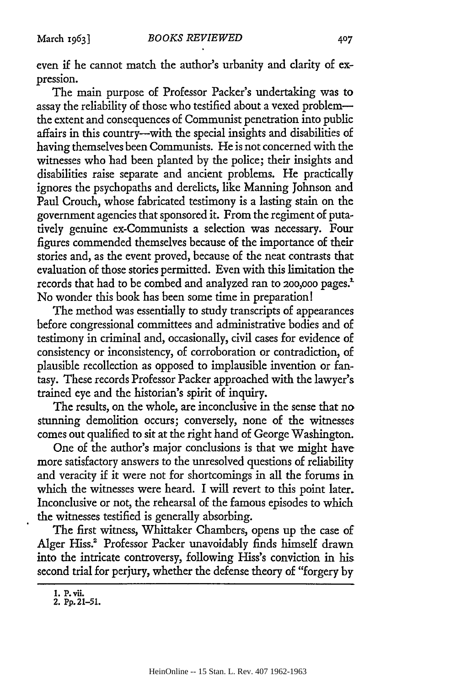even if he cannot match the author's urbanity and clarity of expression.

The main purpose of Professor Packer's undertaking was to assay the reliability of those who testified about a vexed problem the extent and consequences of Communist penetration into public affairs in this country-with the special insights and disabilities of having themselves been Communists. He is not concerned with the witnesses who had been planted by the police; their insights and disabilities raise separate and ancient problems. He practically ignores the psychopaths and derelicts, like Manning Johnson and Paul Crouch, whose fabricated testimony is a lasting stain on the government agencies that sponsored it. From the regiment of putatively genuine ex-Communists a selection was necessary. Four figures commended themselves because of the importance of their stories and, as the event proved, because of the neat contrasts that evaluation of those stories permitted. Even with this limitation the records that had to be combed and analyzed ran to **200,000** pages.' No wonder this book has been some time in preparation!

The method was essentially to study transcripts of appearances before congressional committees and administrative bodies and of testimony in criminal and, occasionally, civil cases for evidence of consistency or inconsistency, of corroboration or contradiction, of plausible recollection as opposed to implausible invention or fantasy. These records Professor Packer approached with the lawyer's trained eye and the historian's spirit of inquiry.

The results, on the whole, are inconclusive in the sense that no stunning demolition occurs; conversely, none of the witnesses comes out qualified to sit at the right hand of George Washington.

One of the author's major conclusions is that we might have more satisfactory answers to the unresolved questions of reliability and veracity if it were not for shortcomings in all the forums in which the witnesses were heard. I will revert to this point later. Inconclusive or not, the rehearsal of the famous episodes to which the witnesses testified is generally absorbing.

The first witness, Whittaker Chambers, opens up the case of Alger Hiss.<sup>2</sup> Professor Packer unavoidably finds himself drawn into the intricate controversy, following Hiss's conviction in his second trial for perjury, whether the defense theory of "forgery by

**<sup>1.</sup> P. vii. 2. Pp. 21-51.**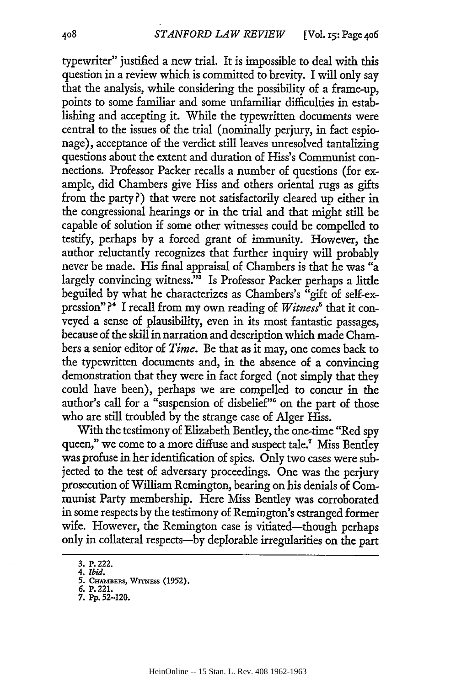typewriter" justified a new trial. It is impossible to deal with this question in a review which is committed to brevity. I will only say that the analysis, while considering the possibility of a frame-up, points to some familiar and some unfamiliar difficulties in establishing and accepting it. While the typewritten documents were central to the issues of the trial (nominally perjury, in fact espionage), acceptance of the verdict still leaves unresolved tantalizing questions about the extent and duration of Hiss's Communist connections. Professor Packer recalls a number of questions (for example, did Chambers give Hiss and others oriental rugs as gifts from the party?) that were not satisfactorily cleared up either in the congressional hearings or in the trial and that might still be capable of solution if some other witnesses could be compelled to testify, perhaps by a forced grant of immunity. However, the author reluctantly recognizes that further inquiry will probably never be made. His final appraisal of Chambers is that he was "a largely convincing witness."<sup>3</sup> Is Professor Packer perhaps a little beguiled by what he characterizes as Chambers's "gift of self-expression" ?' I recall from my own reading of *Witness'* that it conveyed a sense of plausibility, even in its most fantastic passages, because of the skill in narration and description which made Chambers a senior editor of *Time.* Be that as it may, one comes back to the typewritten documents and, in the absence of a convincing demonstration that they were in fact forged (not simply that they could have been), perhaps we are compelled to concur in the author's call for a "suspension of disbelief"' on the part of those who are still troubled by the strange case of Alger Hiss.

With the testimony of Elizabeth Bentley, the one-time "Red spy queen," we come to a more diffuse and suspect tale." Miss Bentley was profuse in her identification of spies. Only two cases were subjected to the test of adversary proceedings. One was the perjury prosecution of William Remington, bearing on his denials of Communist Party membership. Here Miss Bentley was corroborated in some respects by the testimony of Remington's estranged former wife. However, the Remington case is vitiated—though perhaps only in collateral respects-by deplorable irregularities on the part

<sup>3.</sup> P. 222.

**<sup>4.</sup>** Ibid.

**<sup>5.</sup>** CHImBERs, Wrn. **(1952).**

<sup>6.</sup> P. 221. **7. Pp.** 52-120.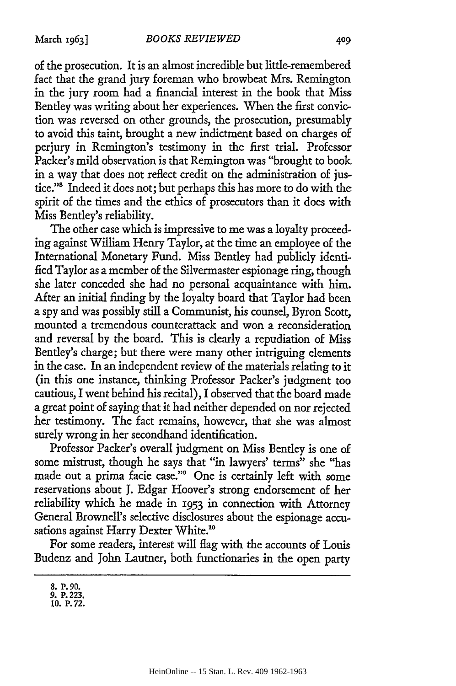of the prosecution. It is an almost incredible but little-remembered fact that the grand jury foreman who browbeat Mrs. Remington in the jury room had a financial interest in the book that Miss Bentley was writing about her experiences. When the first conviction was reversed on other grounds, the prosecution, presumably to avoid this taint, brought a new indictment based on charges of perjury in Remington's testimony in the first trial. Professor Packer's mild observation is that Remington was "brought to book in a way that does not reflect credit on the administration of justice."<sup>8</sup> Indeed it does not; but perhaps this has more to do with the spirit of the times and the ethics of prosecutors than it does with Miss Bentley's reliability.

The other case which is impressive to me was a loyalty proceeding against William Henry Taylor, at the time an employee of the International Monetary Fund. Miss Bentley had publicly identified Taylor as a member of the Silvermaster espionage ring, though she later conceded she had no personal acquaintance with him. After an initial finding by the loyalty board that Taylor had been a spy and was possibly still a Communist, his counsel, Byron Scott, mounted a tremendous counterattack and won a reconsideration and reversal by the board. This is clearly a repudiation of Miss Bentley's charge; but there were many other intriguing elements in the case. In an independent review of the materials relating to it (in this one instance, thinking Professor Packer's judgment too cautious, I went behind his recital), I observed that the board made a great point of saying that it had neither depended on nor rejected her testimony. The fact remains, however, that she was almost surely wrong in her secondhand identification.

Professor Packer's overall judgment on Miss Bentley is one of some mistrust, though he says that "in lawyers' terms" she "has made out a prima facie case."9 One is certainly left with some reservations about J. Edgar Hoover's strong endorsement of her reliability which he made in 1953 in connection with Attorney General Brownell's selective disclosures about the espionage accusations against Harry Dexter White.<sup>10</sup>

For some readers, interest will flag with the accounts of Louis Budenz and John Lautner, both functionaries in the open party

**<sup>8.</sup> P.** *90. 9.* P. **223. 10. P.72.**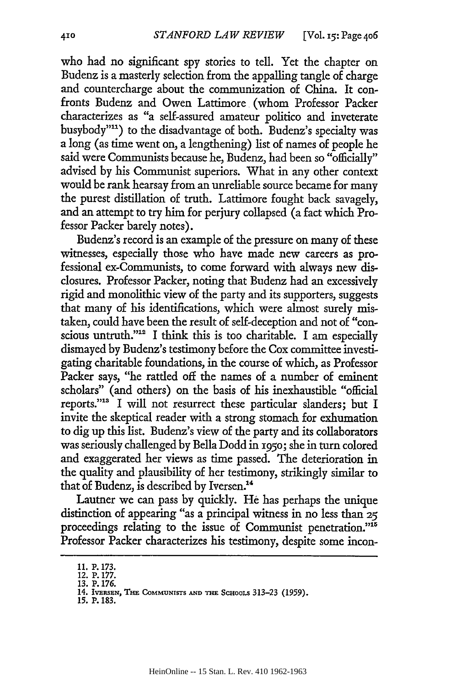who had no significant spy stories to tell. Yet the chapter on Budenz is a masterly selection from the appalling tangle of charge and countercharge about the communization of China. It confronts Budenz and Owen Lattimore (whom Professor Packer characterizes as "a self-assured amateur politico and inveterate busybody"<sup>11</sup>) to the disadvantage of both. Budenz's specialty was a long (as time went on, a lengthening) list of names of people he said were Communists because he, Budenz, had been so "officially" advised by his Communist superiors. What in any other context would be rank hearsay from an unreliable source became for many the purest distillation of truth. Lattimore fought back savagely, and an attempt to try him for perjury collapsed (a fact which Professor Packer barely notes).

Budenz's record is an example of the pressure on many of these witnesses, especially those who have made new careers as professional ex-Communists, to come forward with always new disclosures. Professor Packer, noting that Budenz had an excessively rigid and monolithic view of the party and its supporters, suggests that many of his identifications, which were almost surely mistaken, could have been the result of self-deception and not of "conscious untruth."<sup>12</sup> I think this is too charitable. I am especially dismayed by Budenz's testimony before the Cox committee investigating charitable foundations, in the course of which, as Professor Packer says, "he rattled off the names of a number of eminent scholars" (and others) on the basis of his inexhaustible "official reports."<sup>13</sup> I will not resurrect these particular slanders; but I invite the skeptical reader with a strong stomach for exhumation to dig up this list. Budenz's view of the party and its collaborators was seriously challenged by Bella Dodd in **i95o;** she in turn colored and exaggerated her views as time passed. The deterioration in the quality and plausibility of her testimony, strikingly similar to that of Budenz, is described by Iversen.'

Lautner we can pass by quickly. He has perhaps the unique distinction of appearing "as a principal witness in no less than **25** proceedings relating to the issue of Communist penetration."<sup>15</sup> Professor Packer characterizes his testimony, despite some incon-

<sup>11.</sup> **P. 173.** 12. P. **177.**

**<sup>13.</sup> P. 176.**

<sup>14.</sup> **IVERSEN, THE COMMUNISTS AND THE SCHOOLS 313-23 (1959).** 

**<sup>15.</sup> P. 183.**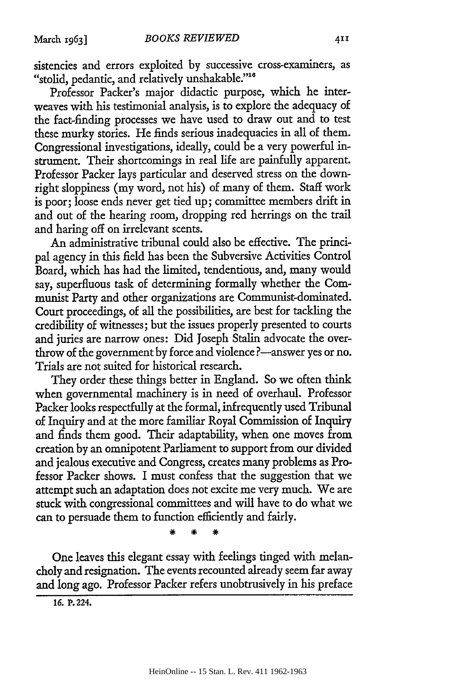sistencies and errors exploited by successive cross-examiners, as "stolid, pedantic, and relatively unshakable."<sup>16</sup>

Professor Packer's major didactic purpose, which he interweaves with his testimonial analysis, is to explore the adequacy of the fact-finding processes we have used to draw out and to test these murky stories. He finds serious inadequacies in all of them. Congressional investigations, ideally, could be a very powerful instrument. Their shortcomings in real life are painfully apparent. Professor Packer lays particular and deserved stress on the downright sloppiness (my word, not his) of many of them. Staff work is poor; loose ends never get tied up; committee members drift in and out of the hearing room, dropping red herrings on the trail and haring off on irrelevant scents.

An administrative tribunal could also be effective. The principal agency in this field has been the Subversive Activities Control Board, which has had the limited, tendentious, and, many would say, superfluous task of determining formally whether the Communist Party and other organizations are Communist-dominated. Court proceedings, of all the possibilities, are best for tackling the credibility of witnesses; but the issues properly presented to courts and juries are narrow ones: Did Joseph Stalin advocate the overthrow of the government by force and violence ?—answer yes or no. Trials are not suited for historical research.

They order these things better in England. So we often think when governmental machinery is in need of overhaul. Professor Packer looks respectfully at the formal, infrequently used Tribunal of Inquiry and at the more familiar Royal Commission of Inquiry and finds them good. Their adaptability, when one moves from creation by an omnipotent Parliament to support from our divided and jealous executive and Congress, creates many problems as Professor Packer shows. I must confess that the suggestion that we attempt such an adaptation does not excite me very much. We are stuck with congressional committees and will have to do what we can to persuade them to function efficiently and fairly.

One leaves this elegant essay with feelings tinged with melancholy and resignation. The events recounted already seem far away and long ago. Professor Packer refers unobtrusively in his preface

*16.* **P.** 224.